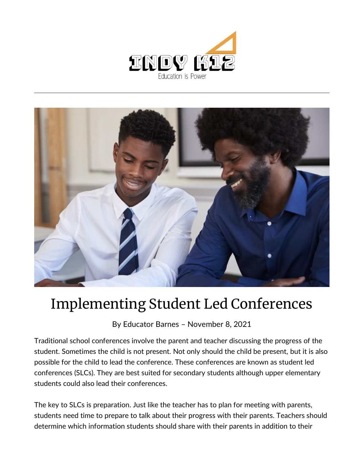



## Implementing Student Led Conferences

By [Educator Barnes](https://indy.education/author/shicole/) – November 8, 2021

Traditional school conferences involve the parent and teacher discussing the progress of the student. Sometimes the child is not present. Not only should the child be present, but it is also possible for the child to lead the conference. These conferences are known as student led conferences (SLCs). They are best suited for secondary students although upper elementary students could also lead their conferences.

The key to SLCs is preparation. Just like the teacher has to plan for meeting with parents, students need time to prepare to talk about their progress with their parents. Teachers should determine which information students should share with their parents in addition to their